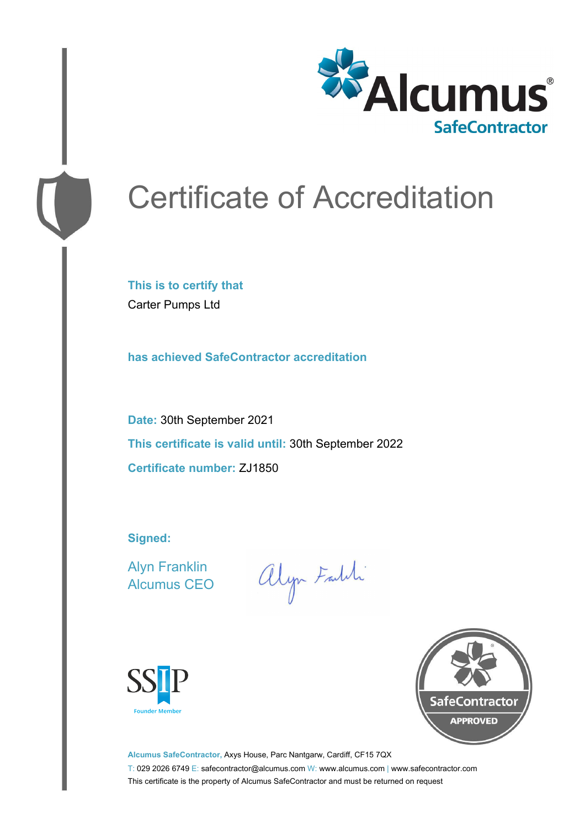

# Certificate of Accreditation

**This is to certify that** Carter Pumps Ltd

**has achieved SafeContractor accreditation**

**Date:** 30th September 2021 **This certificate is valid until:** 30th September 2022 **Certificate number:** ZJ1850

**Signed:**

Alyn Franklin Alcumus CEO

alyn Faith





**Alcumus SafeContractor,** Axys House, Parc Nantgarw, Cardiff, CF15 7QX T: 029 2026 6749 E: safecontractor@alcumus.com W: www.alcumus.com | www.safecontractor.com This certificate is the property of Alcumus SafeContractor and must be returned on request